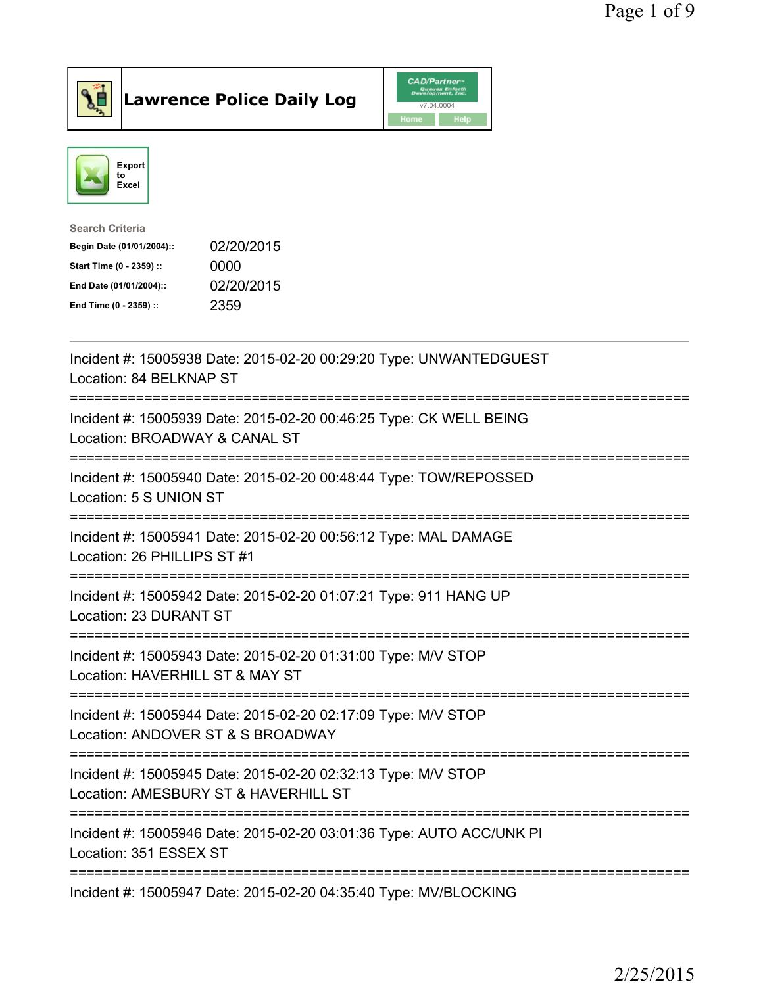



| <b>Search Criteria</b>    |            |
|---------------------------|------------|
| Begin Date (01/01/2004):: | 02/20/2015 |
| Start Time (0 - 2359) ::  | 0000       |
| End Date (01/01/2004)::   | 02/20/2015 |
| End Time (0 - 2359) ::    | 2359       |
|                           |            |

| Incident #: 15005938 Date: 2015-02-20 00:29:20 Type: UNWANTEDGUEST<br>Location: 84 BELKNAP ST                                                                         |
|-----------------------------------------------------------------------------------------------------------------------------------------------------------------------|
| Incident #: 15005939 Date: 2015-02-20 00:46:25 Type: CK WELL BEING<br>Location: BROADWAY & CANAL ST                                                                   |
| Incident #: 15005940 Date: 2015-02-20 00:48:44 Type: TOW/REPOSSED<br>Location: 5 S UNION ST                                                                           |
| Incident #: 15005941 Date: 2015-02-20 00:56:12 Type: MAL DAMAGE<br>Location: 26 PHILLIPS ST #1                                                                        |
| Incident #: 15005942 Date: 2015-02-20 01:07:21 Type: 911 HANG UP<br>Location: 23 DURANT ST                                                                            |
| -------------------<br>Incident #: 15005943 Date: 2015-02-20 01:31:00 Type: M/V STOP<br>Location: HAVERHILL ST & MAY ST                                               |
| ==========================<br>---------------------------------<br>Incident #: 15005944 Date: 2015-02-20 02:17:09 Type: M/V STOP<br>Location: ANDOVER ST & S BROADWAY |
| --------------------------------<br>Incident #: 15005945 Date: 2015-02-20 02:32:13 Type: M/V STOP<br>Location: AMESBURY ST & HAVERHILL ST                             |
| =============================<br>Incident #: 15005946 Date: 2015-02-20 03:01:36 Type: AUTO ACC/UNK PI<br>Location: 351 ESSEX ST                                       |
| ------------------------------------<br>Incident #: 15005947 Date: 2015-02-20 04:35:40 Type: MV/BLOCKING                                                              |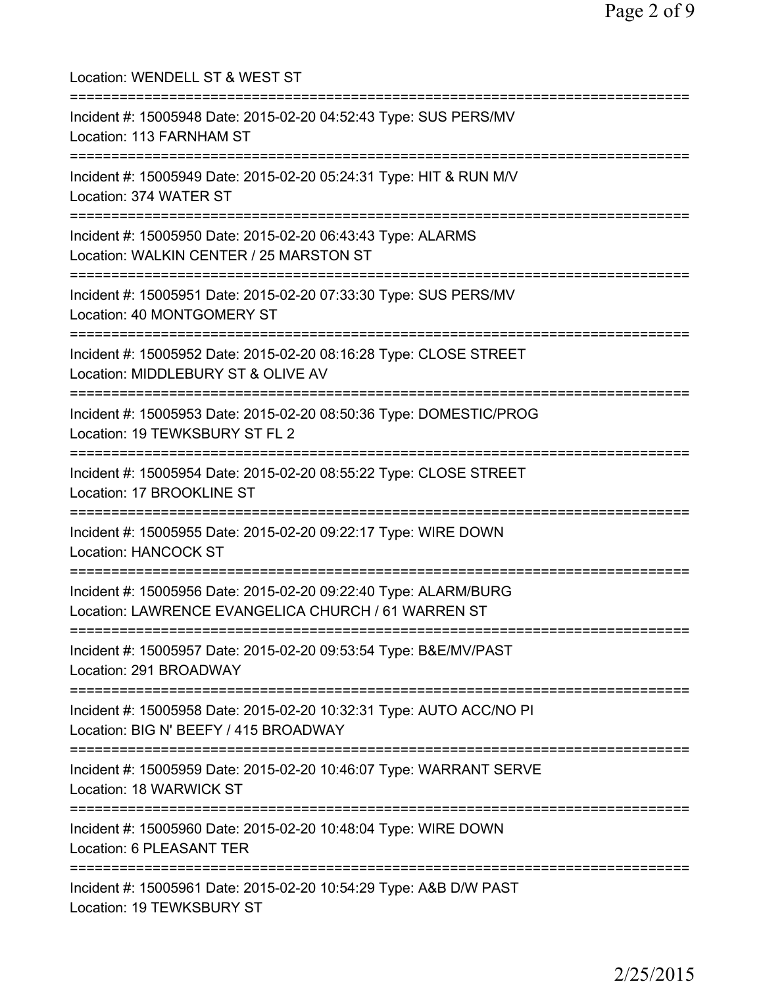Location: WENDELL ST & WEST ST =========================================================================== Incident #: 15005948 Date: 2015-02-20 04:52:43 Type: SUS PERS/MV Location: 113 FARNHAM ST =========================================================================== Incident #: 15005949 Date: 2015-02-20 05:24:31 Type: HIT & RUN M/V Location: 374 WATER ST =========================================================================== Incident #: 15005950 Date: 2015-02-20 06:43:43 Type: ALARMS Location: WALKIN CENTER / 25 MARSTON ST =========================================================================== Incident #: 15005951 Date: 2015-02-20 07:33:30 Type: SUS PERS/MV Location: 40 MONTGOMERY ST =========================================================================== Incident #: 15005952 Date: 2015-02-20 08:16:28 Type: CLOSE STREET Location: MIDDLEBURY ST & OLIVE AV =========================================================================== Incident #: 15005953 Date: 2015-02-20 08:50:36 Type: DOMESTIC/PROG Location: 19 TEWKSBURY ST FL 2 =========================================================================== Incident #: 15005954 Date: 2015-02-20 08:55:22 Type: CLOSE STREET Location: 17 BROOKLINE ST =========================================================================== Incident #: 15005955 Date: 2015-02-20 09:22:17 Type: WIRE DOWN Location: HANCOCK ST =========================================================================== Incident #: 15005956 Date: 2015-02-20 09:22:40 Type: ALARM/BURG Location: LAWRENCE EVANGELICA CHURCH / 61 WARREN ST =========================================================================== Incident #: 15005957 Date: 2015-02-20 09:53:54 Type: B&E/MV/PAST Location: 291 BROADWAY =========================================================================== Incident #: 15005958 Date: 2015-02-20 10:32:31 Type: AUTO ACC/NO PI Location: BIG N' BEEFY / 415 BROADWAY =========================================================================== Incident #: 15005959 Date: 2015-02-20 10:46:07 Type: WARRANT SERVE Location: 18 WARWICK ST =========================================================================== Incident #: 15005960 Date: 2015-02-20 10:48:04 Type: WIRE DOWN Location: 6 PLEASANT TER =========================================================================== Incident #: 15005961 Date: 2015-02-20 10:54:29 Type: A&B D/W PAST Location: 19 TEWKSBURY ST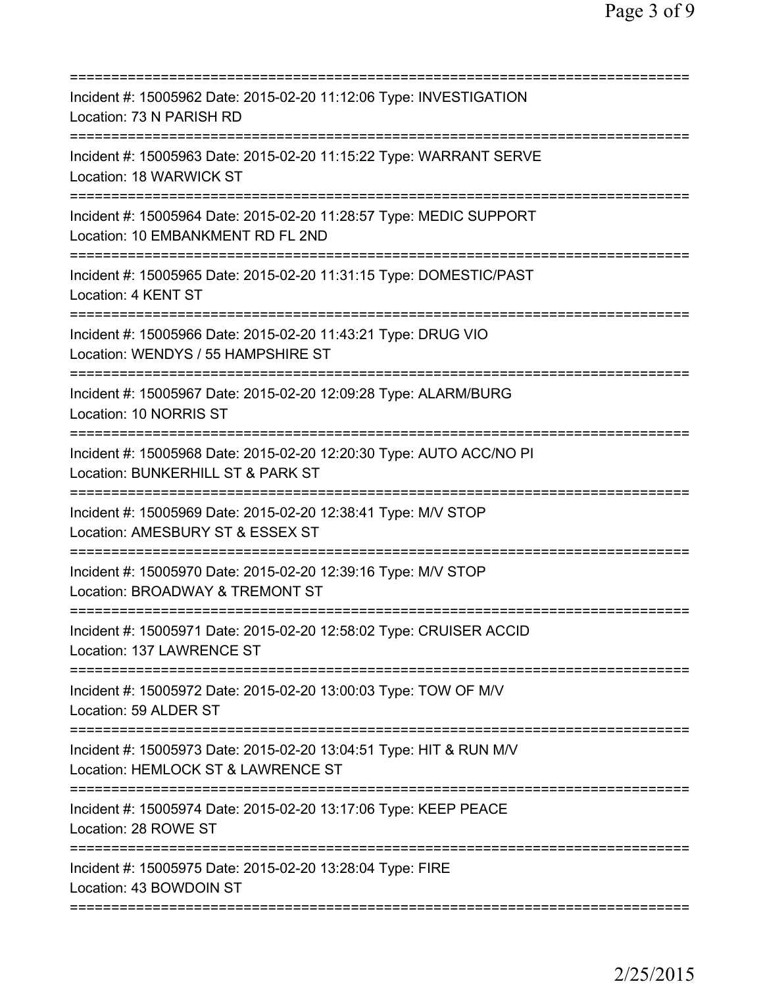| Incident #: 15005962 Date: 2015-02-20 11:12:06 Type: INVESTIGATION<br>Location: 73 N PARISH RD                                               |
|----------------------------------------------------------------------------------------------------------------------------------------------|
| Incident #: 15005963 Date: 2015-02-20 11:15:22 Type: WARRANT SERVE<br>Location: 18 WARWICK ST                                                |
| Incident #: 15005964 Date: 2015-02-20 11:28:57 Type: MEDIC SUPPORT<br>Location: 10 EMBANKMENT RD FL 2ND<br>=======================           |
| Incident #: 15005965 Date: 2015-02-20 11:31:15 Type: DOMESTIC/PAST<br>Location: 4 KENT ST                                                    |
| Incident #: 15005966 Date: 2015-02-20 11:43:21 Type: DRUG VIO<br>Location: WENDYS / 55 HAMPSHIRE ST                                          |
| ==============================<br>Incident #: 15005967 Date: 2015-02-20 12:09:28 Type: ALARM/BURG<br>Location: 10 NORRIS ST<br>------------- |
| Incident #: 15005968 Date: 2015-02-20 12:20:30 Type: AUTO ACC/NO PI<br>Location: BUNKERHILL ST & PARK ST                                     |
| Incident #: 15005969 Date: 2015-02-20 12:38:41 Type: M/V STOP<br>Location: AMESBURY ST & ESSEX ST                                            |
| Incident #: 15005970 Date: 2015-02-20 12:39:16 Type: M/V STOP<br>Location: BROADWAY & TREMONT ST                                             |
| Incident #: 15005971 Date: 2015-02-20 12:58:02 Type: CRUISER ACCID<br>Location: 137 LAWRENCE ST                                              |
| Incident #: 15005972 Date: 2015-02-20 13:00:03 Type: TOW OF M/V<br>Location: 59 ALDER ST                                                     |
| Incident #: 15005973 Date: 2015-02-20 13:04:51 Type: HIT & RUN M/V<br>Location: HEMLOCK ST & LAWRENCE ST                                     |
| Incident #: 15005974 Date: 2015-02-20 13:17:06 Type: KEEP PEACE<br>Location: 28 ROWE ST                                                      |
| Incident #: 15005975 Date: 2015-02-20 13:28:04 Type: FIRE<br>Location: 43 BOWDOIN ST                                                         |
|                                                                                                                                              |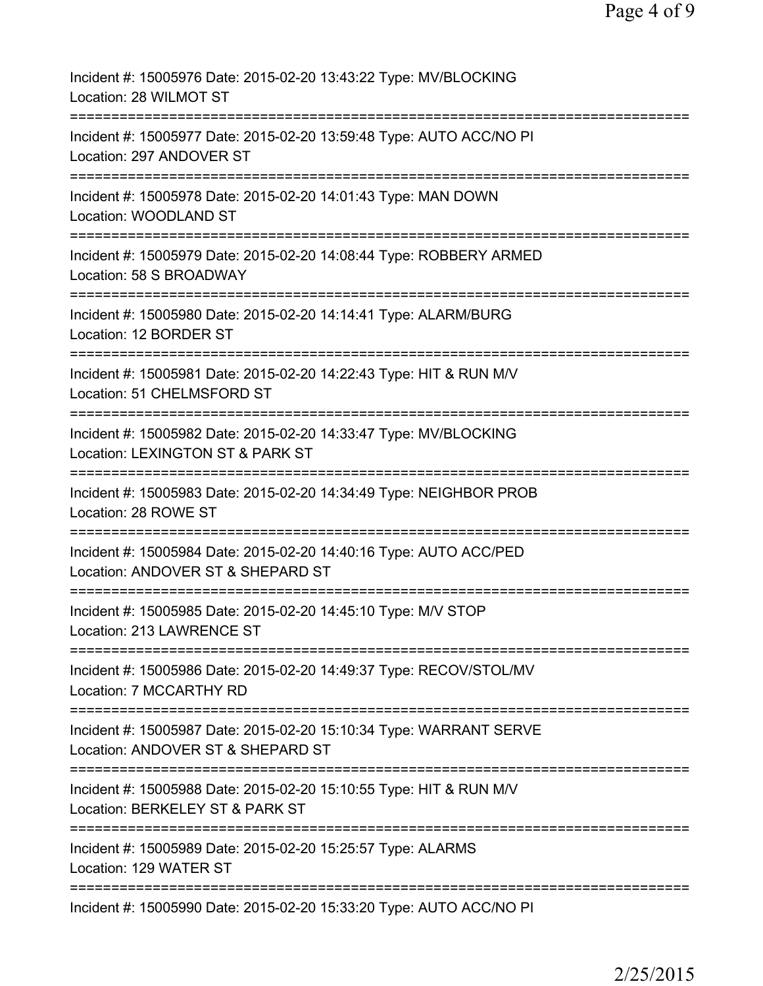| Incident #: 15005976 Date: 2015-02-20 13:43:22 Type: MV/BLOCKING<br>Location: 28 WILMOT ST                                                                        |
|-------------------------------------------------------------------------------------------------------------------------------------------------------------------|
| Incident #: 15005977 Date: 2015-02-20 13:59:48 Type: AUTO ACC/NO PI<br>Location: 297 ANDOVER ST                                                                   |
| Incident #: 15005978 Date: 2015-02-20 14:01:43 Type: MAN DOWN<br>Location: WOODLAND ST                                                                            |
| Incident #: 15005979 Date: 2015-02-20 14:08:44 Type: ROBBERY ARMED<br>Location: 58 S BROADWAY                                                                     |
| Incident #: 15005980 Date: 2015-02-20 14:14:41 Type: ALARM/BURG<br>Location: 12 BORDER ST                                                                         |
| Incident #: 15005981 Date: 2015-02-20 14:22:43 Type: HIT & RUN M/V<br>Location: 51 CHELMSFORD ST                                                                  |
| Incident #: 15005982 Date: 2015-02-20 14:33:47 Type: MV/BLOCKING<br>Location: LEXINGTON ST & PARK ST<br>=============                                             |
| Incident #: 15005983 Date: 2015-02-20 14:34:49 Type: NEIGHBOR PROB<br>Location: 28 ROWE ST                                                                        |
| Incident #: 15005984 Date: 2015-02-20 14:40:16 Type: AUTO ACC/PED<br>Location: ANDOVER ST & SHEPARD ST                                                            |
| Incident #: 15005985 Date: 2015-02-20 14:45:10 Type: M/V STOP<br>Location: 213 LAWRENCE ST                                                                        |
| =====================================<br>=======================<br>Incident #: 15005986 Date: 2015-02-20 14:49:37 Type: RECOV/STOL/MV<br>Location: 7 MCCARTHY RD |
| Incident #: 15005987 Date: 2015-02-20 15:10:34 Type: WARRANT SERVE<br>Location: ANDOVER ST & SHEPARD ST                                                           |
| Incident #: 15005988 Date: 2015-02-20 15:10:55 Type: HIT & RUN M/V<br>Location: BERKELEY ST & PARK ST                                                             |
| Incident #: 15005989 Date: 2015-02-20 15:25:57 Type: ALARMS<br>Location: 129 WATER ST                                                                             |
| Incident #: 15005990 Date: 2015-02-20 15:33:20 Type: AUTO ACC/NO PI                                                                                               |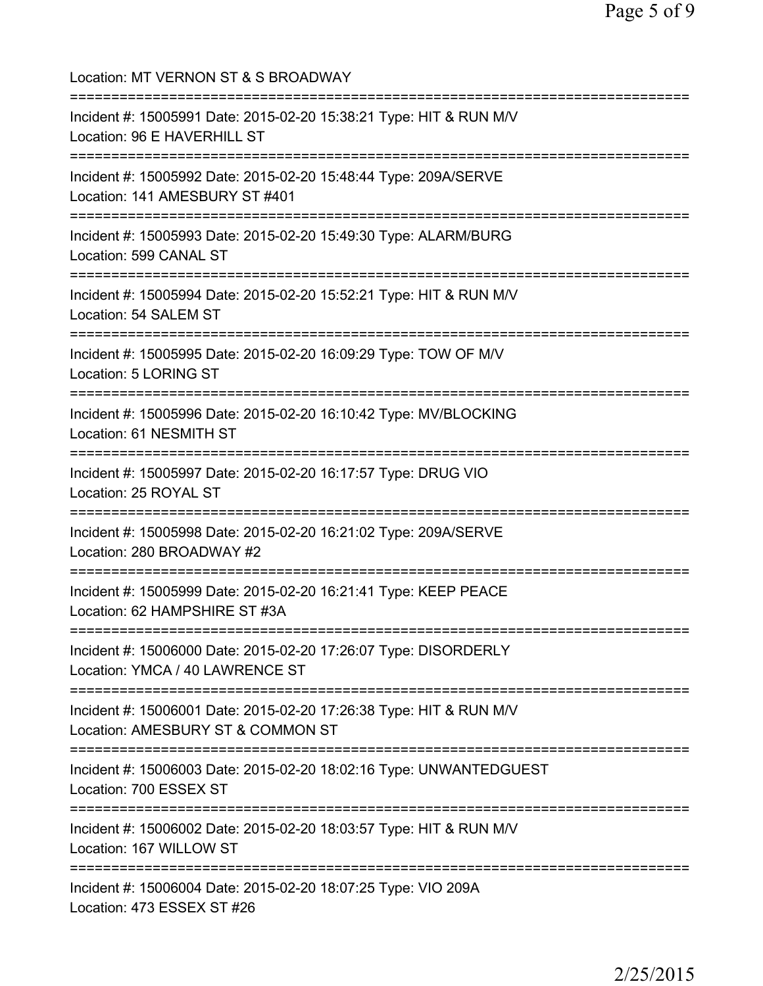Location: MT VERNON ST & S BROADWAY =========================================================================== Incident #: 15005991 Date: 2015-02-20 15:38:21 Type: HIT & RUN M/V Location: 96 E HAVERHILL ST =========================================================================== Incident #: 15005992 Date: 2015-02-20 15:48:44 Type: 209A/SERVE Location: 141 AMESBURY ST #401 =========================================================================== Incident #: 15005993 Date: 2015-02-20 15:49:30 Type: ALARM/BURG Location: 599 CANAL ST =========================================================================== Incident #: 15005994 Date: 2015-02-20 15:52:21 Type: HIT & RUN M/V Location: 54 SALEM ST =========================================================================== Incident #: 15005995 Date: 2015-02-20 16:09:29 Type: TOW OF M/V Location: 5 LORING ST =========================================================================== Incident #: 15005996 Date: 2015-02-20 16:10:42 Type: MV/BLOCKING Location: 61 NESMITH ST =========================================================================== Incident #: 15005997 Date: 2015-02-20 16:17:57 Type: DRUG VIO Location: 25 ROYAL ST =========================================================================== Incident #: 15005998 Date: 2015-02-20 16:21:02 Type: 209A/SERVE Location: 280 BROADWAY #2 =========================================================================== Incident #: 15005999 Date: 2015-02-20 16:21:41 Type: KEEP PEACE Location: 62 HAMPSHIRE ST #3A =========================================================================== Incident #: 15006000 Date: 2015-02-20 17:26:07 Type: DISORDERLY Location: YMCA / 40 LAWRENCE ST =========================================================================== Incident #: 15006001 Date: 2015-02-20 17:26:38 Type: HIT & RUN M/V Location: AMESBURY ST & COMMON ST =========================================================================== Incident #: 15006003 Date: 2015-02-20 18:02:16 Type: UNWANTEDGUEST Location: 700 ESSEX ST =========================================================================== Incident #: 15006002 Date: 2015-02-20 18:03:57 Type: HIT & RUN M/V Location: 167 WILLOW ST =========================================================================== Incident #: 15006004 Date: 2015-02-20 18:07:25 Type: VIO 209A Location: 473 ESSEX ST #26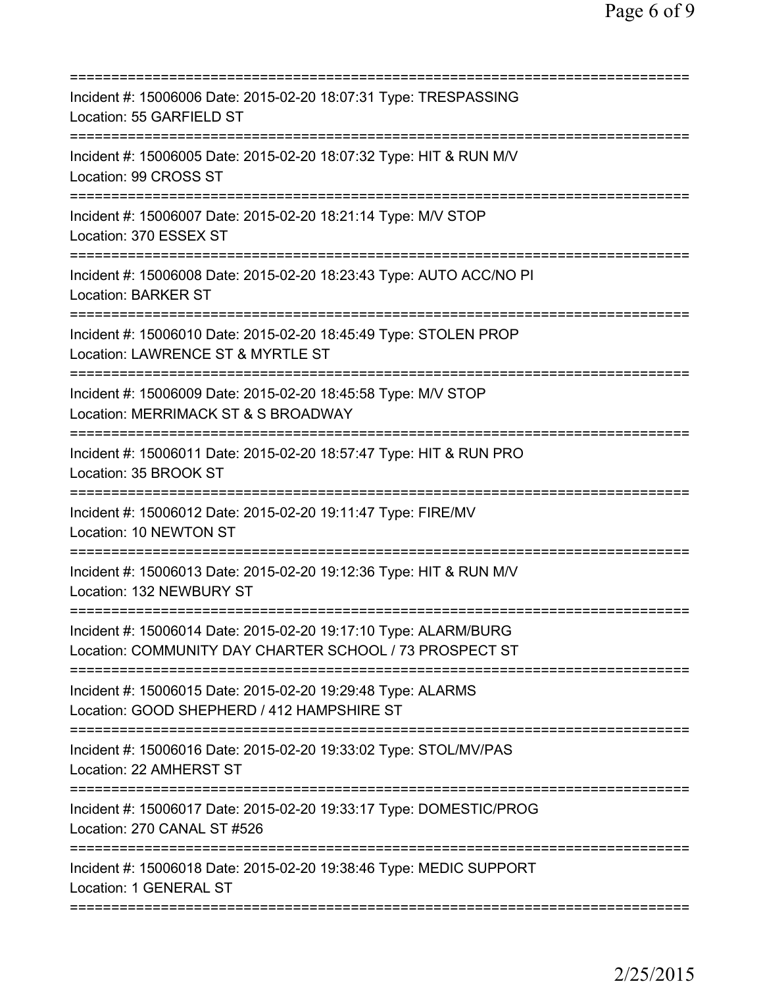| Incident #: 15006006 Date: 2015-02-20 18:07:31 Type: TRESPASSING<br>Location: 55 GARFIELD ST                               |
|----------------------------------------------------------------------------------------------------------------------------|
| Incident #: 15006005 Date: 2015-02-20 18:07:32 Type: HIT & RUN M/V<br>Location: 99 CROSS ST                                |
| Incident #: 15006007 Date: 2015-02-20 18:21:14 Type: M/V STOP<br>Location: 370 ESSEX ST                                    |
| Incident #: 15006008 Date: 2015-02-20 18:23:43 Type: AUTO ACC/NO PI<br><b>Location: BARKER ST</b>                          |
| Incident #: 15006010 Date: 2015-02-20 18:45:49 Type: STOLEN PROP<br>Location: LAWRENCE ST & MYRTLE ST                      |
| Incident #: 15006009 Date: 2015-02-20 18:45:58 Type: M/V STOP<br>Location: MERRIMACK ST & S BROADWAY                       |
| Incident #: 15006011 Date: 2015-02-20 18:57:47 Type: HIT & RUN PRO<br>Location: 35 BROOK ST                                |
| Incident #: 15006012 Date: 2015-02-20 19:11:47 Type: FIRE/MV<br>Location: 10 NEWTON ST                                     |
| Incident #: 15006013 Date: 2015-02-20 19:12:36 Type: HIT & RUN M/V<br>Location: 132 NEWBURY ST                             |
| Incident #: 15006014 Date: 2015-02-20 19:17:10 Type: ALARM/BURG<br>Location: COMMUNITY DAY CHARTER SCHOOL / 73 PROSPECT ST |
| Incident #: 15006015 Date: 2015-02-20 19:29:48 Type: ALARMS<br>Location: GOOD SHEPHERD / 412 HAMPSHIRE ST                  |
| Incident #: 15006016 Date: 2015-02-20 19:33:02 Type: STOL/MV/PAS<br>Location: 22 AMHERST ST                                |
| Incident #: 15006017 Date: 2015-02-20 19:33:17 Type: DOMESTIC/PROG<br>Location: 270 CANAL ST #526                          |
| Incident #: 15006018 Date: 2015-02-20 19:38:46 Type: MEDIC SUPPORT<br>Location: 1 GENERAL ST                               |
|                                                                                                                            |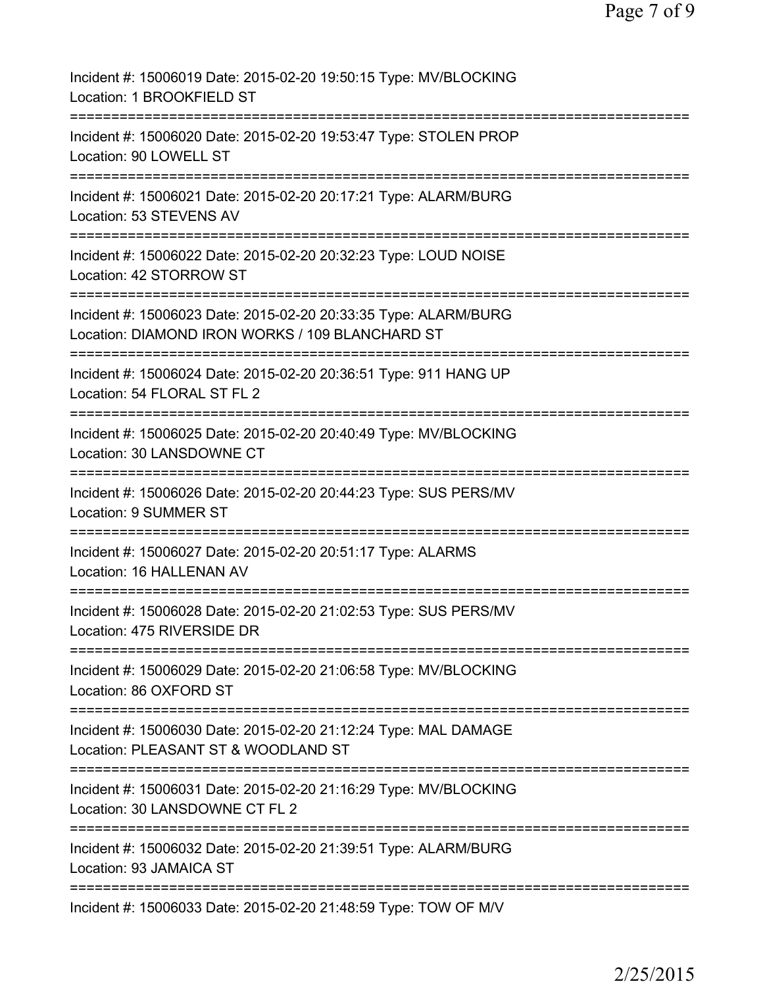| Incident #: 15006019 Date: 2015-02-20 19:50:15 Type: MV/BLOCKING<br>Location: 1 BROOKFIELD ST                                               |
|---------------------------------------------------------------------------------------------------------------------------------------------|
| Incident #: 15006020 Date: 2015-02-20 19:53:47 Type: STOLEN PROP<br>Location: 90 LOWELL ST                                                  |
| Incident #: 15006021 Date: 2015-02-20 20:17:21 Type: ALARM/BURG<br>Location: 53 STEVENS AV                                                  |
| Incident #: 15006022 Date: 2015-02-20 20:32:23 Type: LOUD NOISE<br>Location: 42 STORROW ST                                                  |
| Incident #: 15006023 Date: 2015-02-20 20:33:35 Type: ALARM/BURG<br>Location: DIAMOND IRON WORKS / 109 BLANCHARD ST                          |
| Incident #: 15006024 Date: 2015-02-20 20:36:51 Type: 911 HANG UP<br>Location: 54 FLORAL ST FL 2                                             |
| Incident #: 15006025 Date: 2015-02-20 20:40:49 Type: MV/BLOCKING<br>Location: 30 LANSDOWNE CT                                               |
| Incident #: 15006026 Date: 2015-02-20 20:44:23 Type: SUS PERS/MV<br>Location: 9 SUMMER ST                                                   |
| ==============<br>Incident #: 15006027 Date: 2015-02-20 20:51:17 Type: ALARMS<br>Location: 16 HALLENAN AV                                   |
| Incident #: 15006028 Date: 2015-02-20 21:02:53 Type: SUS PERS/MV<br>Location: 475 RIVERSIDE DR                                              |
| Incident #: 15006029 Date: 2015-02-20 21:06:58 Type: MV/BLOCKING<br>Location: 86 OXFORD ST                                                  |
| Incident #: 15006030 Date: 2015-02-20 21:12:24 Type: MAL DAMAGE<br>Location: PLEASANT ST & WOODLAND ST<br>================================= |
| Incident #: 15006031 Date: 2015-02-20 21:16:29 Type: MV/BLOCKING<br>Location: 30 LANSDOWNE CT FL 2                                          |
| Incident #: 15006032 Date: 2015-02-20 21:39:51 Type: ALARM/BURG<br>Location: 93 JAMAICA ST                                                  |
| Incident #: 15006033 Date: 2015-02-20 21:48:59 Type: TOW OF M/V                                                                             |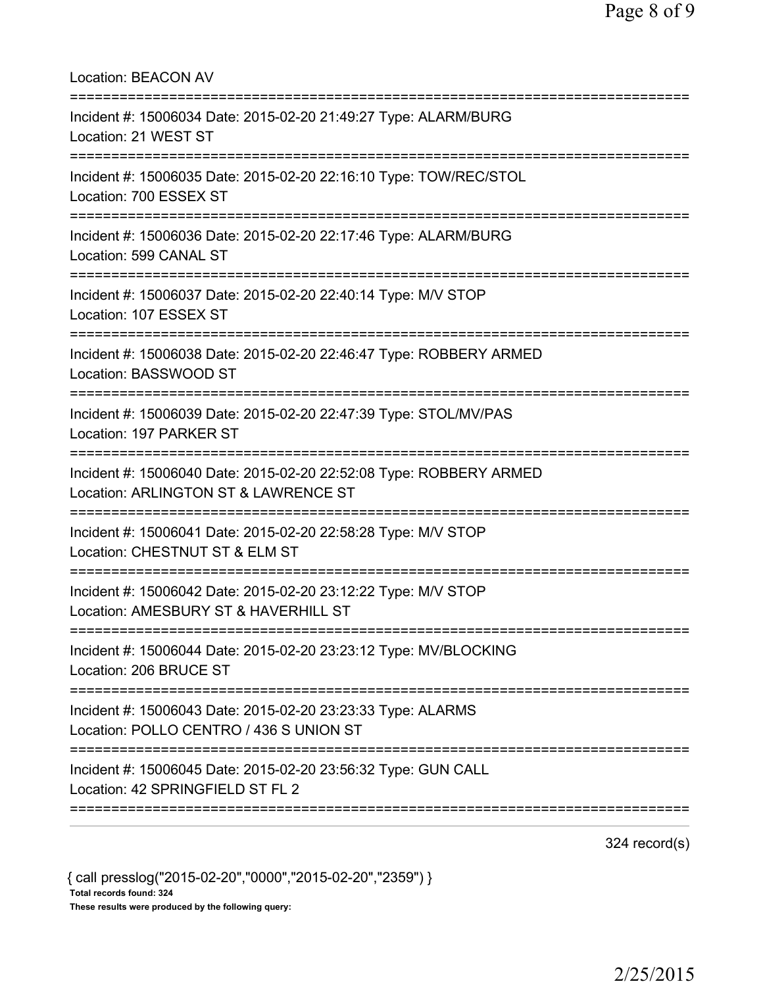| <b>Location: BEACON AV</b>                                                                                 |
|------------------------------------------------------------------------------------------------------------|
| Incident #: 15006034 Date: 2015-02-20 21:49:27 Type: ALARM/BURG<br>Location: 21 WEST ST                    |
| Incident #: 15006035 Date: 2015-02-20 22:16:10 Type: TOW/REC/STOL<br>Location: 700 ESSEX ST                |
| Incident #: 15006036 Date: 2015-02-20 22:17:46 Type: ALARM/BURG<br>Location: 599 CANAL ST                  |
| Incident #: 15006037 Date: 2015-02-20 22:40:14 Type: M/V STOP<br>Location: 107 ESSEX ST                    |
| Incident #: 15006038 Date: 2015-02-20 22:46:47 Type: ROBBERY ARMED<br>Location: BASSWOOD ST                |
| Incident #: 15006039 Date: 2015-02-20 22:47:39 Type: STOL/MV/PAS<br>Location: 197 PARKER ST                |
| Incident #: 15006040 Date: 2015-02-20 22:52:08 Type: ROBBERY ARMED<br>Location: ARLINGTON ST & LAWRENCE ST |
| Incident #: 15006041 Date: 2015-02-20 22:58:28 Type: M/V STOP<br>Location: CHESTNUT ST & ELM ST            |
| Incident #: 15006042 Date: 2015-02-20 23:12:22 Type: M/V STOP<br>Location: AMESBURY ST & HAVERHILL ST      |
| Incident #: 15006044 Date: 2015-02-20 23:23:12 Type: MV/BLOCKING<br>Location: 206 BRUCE ST                 |
| Incident #: 15006043 Date: 2015-02-20 23:23:33 Type: ALARMS<br>Location: POLLO CENTRO / 436 S UNION ST     |
| Incident #: 15006045 Date: 2015-02-20 23:56:32 Type: GUN CALL<br>Location: 42 SPRINGFIELD ST FL 2          |
|                                                                                                            |

324 record(s)

{ call presslog("2015-02-20","0000","2015-02-20","2359") } Total records found: 324 These results were produced by the following query: